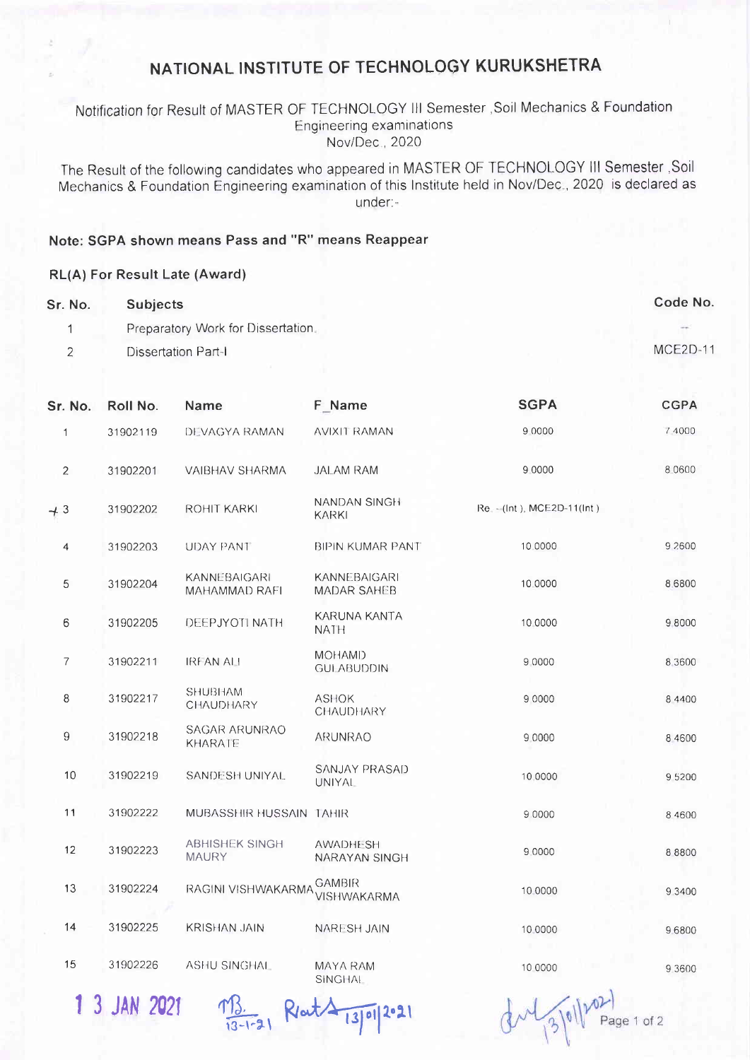## NATIONAL INSTITUTE OF TECHNOLOGY KURUKSHETRA

### Notification for Result of MASTER OF TECHNOLOGY III Semester , Soil Mechanics & Foundation **Engineering examinations** Nov/Dec., 2020

The Result of the following candidates who appeared in MASTER OF TECHNOLOGY III Semester , Soil Mechanics & Foundation Engineering examination of this Institute held in Nov/Dec., 2020 is declared as under:-

#### Note: SGPA shown means Pass and "R" means Reappear

#### RL(A) For Result Late (Award)

| Sr. No. | <b>Subjects</b>                   | Code No. |
|---------|-----------------------------------|----------|
|         | Preparatory Work for Dissertation |          |
|         | Dissertation Part-I               | MCE2D-11 |

| Sr. No.        | Roll No. | Name                                  | F Name                                    | <b>SGPA</b>                  | <b>CGPA</b> |
|----------------|----------|---------------------------------------|-------------------------------------------|------------------------------|-------------|
| $\mathbf{1}$   | 31902119 | DEVAGYA RAMAN                         | AVIXIT RAMAN                              | 9 0000                       | 7 4000      |
| $\overline{2}$ | 31902201 | <b>VAIBHAV SHARMA</b>                 | <b>JALAM RAM</b>                          | 9 0000                       | 8.0600      |
| $+3$           | 31902202 | ROHIT KARKI                           | NANDAN SINGH<br><b>KARKI</b>              | Re. - (Int.), MCE2D-11(Int.) |             |
| 4              | 31902203 | <b>UDAY PANT</b>                      | <b>BIPIN KUMAR PANT</b>                   | 10.0000                      | 9 2600      |
| 5              | 31902204 | KANNEBAIGARI<br>MAHAMMAD RAFI         | <b>KANNEBAIGARI</b><br><b>MADAR SAHEB</b> | 10.0000                      | 8,6800      |
| 6              | 31902205 | DEEPJYOTI NATH                        | KARUNA KANTA<br><b>NATH</b>               | 10 0000                      | 98000       |
| $\overline{7}$ | 31902211 | <b>IREAN ALI</b>                      | <b>MOHAMD</b><br><b>GULABUDDIN</b>        | 9 0000                       | 8 3600      |
| 8              | 31902217 | <b>SHUBHAM</b><br>CHAUDHARY           | <b>ASHOK</b><br>CHAUDHARY                 | 9 0000                       | 8 4 4 0 0   |
| 9              | 31902218 | <b>SAGAR ARUNRAO</b><br>KHARATE       | ARUNRAO                                   | 9 0000                       | 8 4600      |
| 10             | 31902219 | SANDESH UNIYAL                        | SANJAY PRASAD<br><b>UNIYAL</b>            | 10.0000                      | 95200       |
| 11             | 31902222 | MUBASSHIR HUSSAIN TAHIR               |                                           | 9 0000                       | 8 4 6 0 0   |
| 12             | 31902223 | <b>ABHISHEK SINGH</b><br><b>MAURY</b> | <b>AWADHESH</b><br>NARAYAN SINGH          | 9 0000                       | 8 8 8 0 0   |
| 13             | 31902224 | RAGINI VISHWAKARMA                    | GAMBIR<br><b>VISHWAKARMA</b>              | 10 0000                      | 9 3 4 0 0   |
| 14             | 31902225 | <b>KRISHAN JAIN</b>                   | NARESH JAIN                               | 10.0000                      | 9.6800      |
| 15             | 31902226 | <b>ASHU SINGHAL</b>                   | MAYA RAM<br><b>SINGHAL</b>                | 10 0000                      | 9.3600      |

1 3 JAN 2021

M3. Rot 13/01/2021